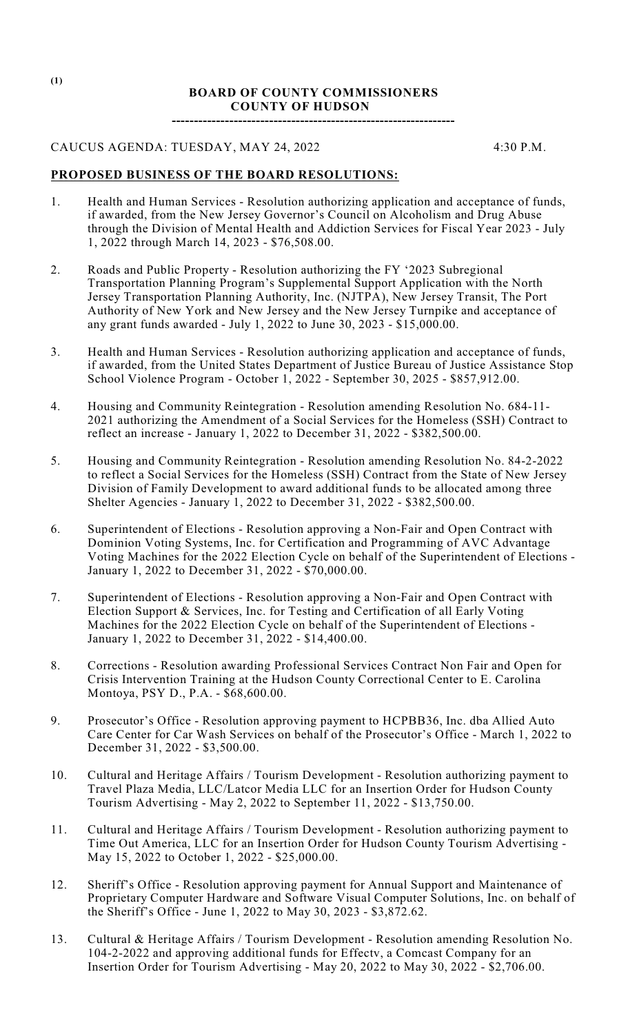## **BOARD OF COUNTY COMMISSIONERS COUNTY OF HUDSON**

**----------------------------------------------------------------**

## CAUCUS AGENDA: TUESDAY, MAY 24, 2022 4:30 P.M.

## **PROPOSED BUSINESS OF THE BOARD RESOLUTIONS:**

- 1. Health and Human Services Resolution authorizing application and acceptance of funds, if awarded, from the New Jersey Governor's Council on Alcoholism and Drug Abuse through the Division of Mental Health and Addiction Services for Fiscal Year 2023 - July 1, 2022 through March 14, 2023 - \$76,508.00.
- 2. Roads and Public Property Resolution authorizing the FY '2023 Subregional Transportation Planning Program's Supplemental Support Application with the North Jersey Transportation Planning Authority, Inc. (NJTPA), New Jersey Transit, The Port Authority of New York and New Jersey and the New Jersey Turnpike and acceptance of any grant funds awarded - July 1, 2022 to June 30, 2023 - \$15,000.00.
- 3. Health and Human Services Resolution authorizing application and acceptance of funds, if awarded, from the United States Department of Justice Bureau of Justice Assistance Stop School Violence Program - October 1, 2022 - September 30, 2025 - \$857,912.00.
- 4. Housing and Community Reintegration Resolution amending Resolution No. 684-11- 2021 authorizing the Amendment of a Social Services for the Homeless (SSH) Contract to reflect an increase - January 1, 2022 to December 31, 2022 - \$382,500.00.
- 5. Housing and Community Reintegration Resolution amending Resolution No. 84-2-2022 to reflect a Social Services for the Homeless (SSH) Contract from the State of New Jersey Division of Family Development to award additional funds to be allocated among three Shelter Agencies - January 1, 2022 to December 31, 2022 - \$382,500.00.
- 6. Superintendent of Elections Resolution approving a Non-Fair and Open Contract with Dominion Voting Systems, Inc. for Certification and Programming of AVC Advantage Voting Machines for the 2022 Election Cycle on behalf of the Superintendent of Elections - January 1, 2022 to December 31, 2022 - \$70,000.00.
- 7. Superintendent of Elections Resolution approving a Non-Fair and Open Contract with Election Support & Services, Inc. for Testing and Certification of all Early Voting Machines for the 2022 Election Cycle on behalf of the Superintendent of Elections - January 1, 2022 to December 31, 2022 - \$14,400.00.
- 8. Corrections Resolution awarding Professional Services Contract Non Fair and Open for Crisis Intervention Training at the Hudson County Correctional Center to E. Carolina Montoya, PSY D., P.A. - \$68,600.00.
- 9. Prosecutor's Office Resolution approving payment to HCPBB36, Inc. dba Allied Auto Care Center for Car Wash Services on behalf of the Prosecutor's Office - March 1, 2022 to December 31, 2022 - \$3,500.00.
- 10. Cultural and Heritage Affairs / Tourism Development Resolution authorizing payment to Travel Plaza Media, LLC/Latcor Media LLC for an Insertion Order for Hudson County Tourism Advertising - May 2, 2022 to September 11, 2022 - \$13,750.00.
- 11. Cultural and Heritage Affairs / Tourism Development Resolution authorizing payment to Time Out America, LLC for an Insertion Order for Hudson County Tourism Advertising - May 15, 2022 to October 1, 2022 - \$25,000.00.
- 12. Sheriff's Office Resolution approving payment for Annual Support and Maintenance of Proprietary Computer Hardware and Software Visual Computer Solutions, Inc. on behalf of the Sheriff's Office - June 1, 2022 to May 30, 2023 - \$3,872.62.
- 13. Cultural & Heritage Affairs / Tourism Development Resolution amending Resolution No. 104-2-2022 and approving additional funds for Effectv, a Comcast Company for an Insertion Order for Tourism Advertising - May 20, 2022 to May 30, 2022 - \$2,706.00.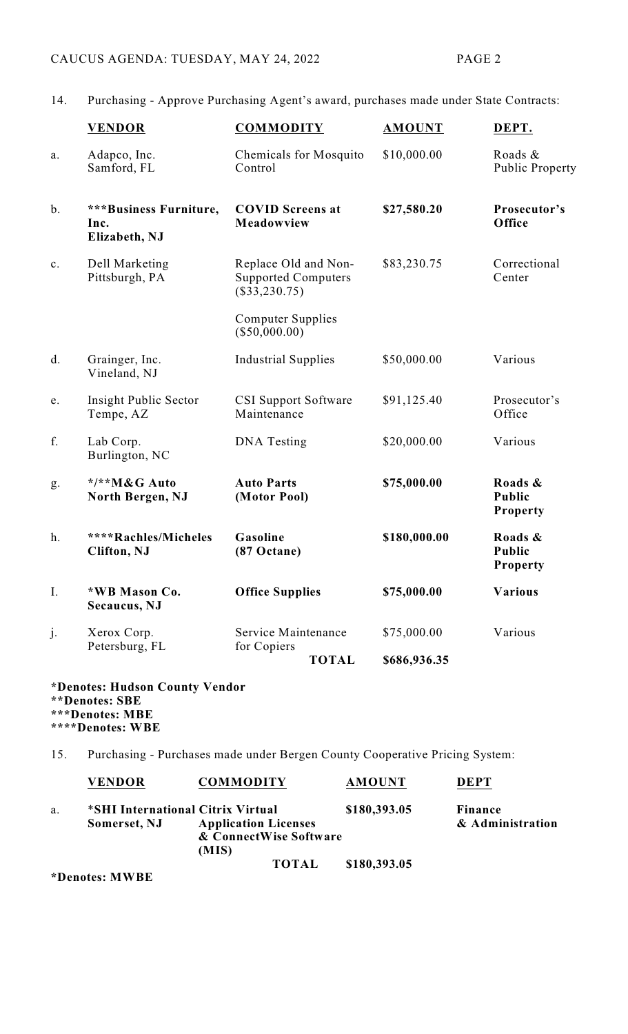14. Purchasing - Approve Purchasing Agent's award, purchases made under State Contracts:

|               | <b>VENDOR</b>                                   | <b>COMMODITY</b>                                                      | <b>AMOUNT</b> | DEPT.                                       |
|---------------|-------------------------------------------------|-----------------------------------------------------------------------|---------------|---------------------------------------------|
| a.            | Adapco, Inc.<br>Samford, FL                     | Chemicals for Mosquito<br>Control                                     | \$10,000.00   | Roads &<br>Public Property                  |
| $\mathbf b$ . | ***Business Furniture,<br>Inc.<br>Elizabeth, NJ | <b>COVID Screens at</b><br>Meadowview                                 | \$27,580.20   | Prosecutor's<br>Office                      |
| c.            | Dell Marketing<br>Pittsburgh, PA                | Replace Old and Non-<br><b>Supported Computers</b><br>$(\$33,230.75)$ | \$83,230.75   | Correctional<br>Center                      |
|               |                                                 | <b>Computer Supplies</b><br>$(\$50,000.00)$                           |               |                                             |
| d.            | Grainger, Inc.<br>Vineland, NJ                  | <b>Industrial Supplies</b>                                            | \$50,000.00   | Various                                     |
| e.            | Insight Public Sector<br>Tempe, AZ              | <b>CSI Support Software</b><br>Maintenance                            | \$91,125.40   | Prosecutor's<br>Office                      |
| f.            | Lab Corp.<br>Burlington, NC                     | DNA Testing                                                           | \$20,000.00   | Various                                     |
| g.            | */**M&G Auto<br>North Bergen, NJ                | <b>Auto Parts</b><br>(Motor Pool)                                     | \$75,000.00   | Roads &<br><b>Public</b><br><b>Property</b> |
| h.            | ****Rachles/Micheles<br><b>Clifton</b> , NJ     | Gasoline<br>$(87$ Octane)                                             | \$180,000.00  | Roads &<br><b>Public</b><br><b>Property</b> |
| I.            | *WB Mason Co.<br>Secaucus, NJ                   | <b>Office Supplies</b>                                                | \$75,000.00   | <b>Various</b>                              |
| j.            | Xerox Corp.<br>Petersburg, FL                   | Service Maintenance<br>for Copiers                                    | \$75,000.00   | Various                                     |
|               |                                                 | <b>TOTAL</b>                                                          | \$686,936.35  |                                             |

**\*Denotes: Hudson County Vendor \*\*Denotes: SBE \*\*\*Denotes: MBE \*\*\*\*Denotes: WBE**

15. Purchasing - Purchases made under Bergen County Cooperative Pricing System:

|    | <b>VENDOR</b>                     | <b>COMMODITY</b>            | <b>AMOUNT</b> | <b>DEPT</b>      |
|----|-----------------------------------|-----------------------------|---------------|------------------|
| a. | *SHI International Citrix Virtual |                             | \$180,393.05  | Finance          |
|    | Somerset, NJ                      | <b>Application Licenses</b> |               | & Administration |
|    |                                   | & ConnectWise Software      |               |                  |
|    |                                   | (MIS)                       |               |                  |
|    |                                   | <b>TOTAL</b>                | \$180,393.05  |                  |

**\*Denotes: MWBE**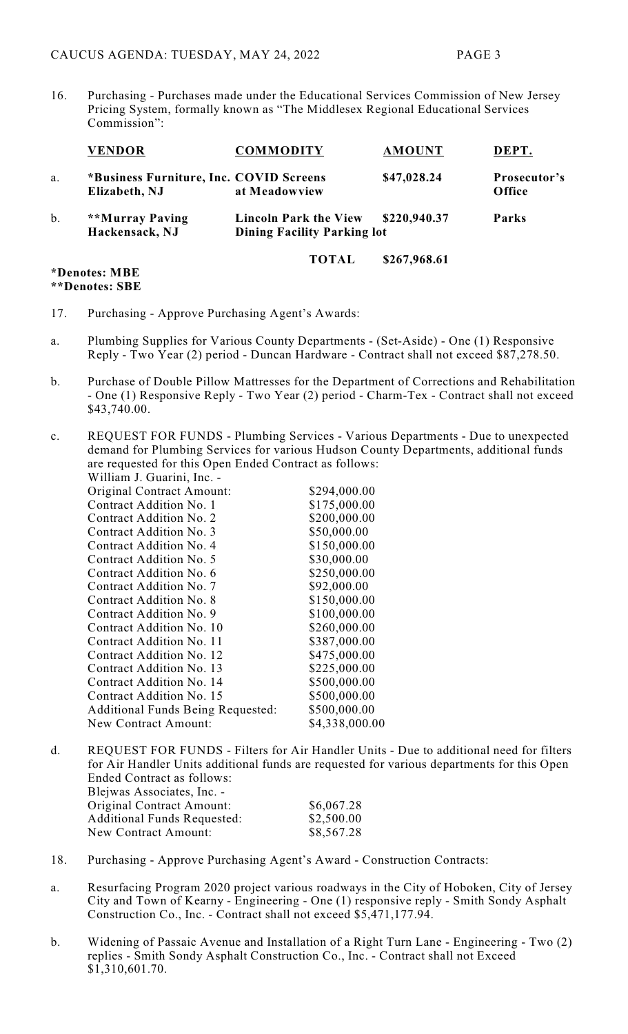16. Purchasing - Purchases made under the Educational Services Commission of New Jersey Pricing System, formally known as "The Middlesex Regional Educational Services Commission":

|       | <b>VENDOR</b>                                            | <b>COMMODITY</b>                                                                            | <b>AMOUNT</b> | DEPT.                  |
|-------|----------------------------------------------------------|---------------------------------------------------------------------------------------------|---------------|------------------------|
| a.    | *Business Furniture, Inc. COVID Screens<br>Elizabeth, NJ | at Meadowview                                                                               | \$47,028.24   | Prosecutor's<br>Office |
| $b$ . | **Murray Paving<br>Hackensack, NJ                        | \$220,940.37<br><b>Lincoln Park the View</b><br>Parks<br><b>Dining Facility Parking lot</b> |               |                        |
|       | *Denotes: MBE                                            | <b>TOTAL</b>                                                                                | \$267,968.61  |                        |

**\*\*Denotes: SBE**

- 17. Purchasing Approve Purchasing Agent's Awards:
- a. Plumbing Supplies for Various County Departments (Set-Aside) One (1) Responsive Reply - Two Year (2) period - Duncan Hardware - Contract shall not exceed \$87,278.50.
- b. Purchase of Double Pillow Mattresses for the Department of Corrections and Rehabilitation - One (1) Responsive Reply - Two Year (2) period - Charm-Tex - Contract shall not exceed \$43,740.00.
- c. REQUEST FOR FUNDS Plumbing Services Various Departments Due to unexpected demand for Plumbing Services for various Hudson County Departments, additional funds are requested for this Open Ended Contract as follows: William I. Guarini, Inc.

| W IIIIaiii J. Uuariiii, Iliv. -          |                |
|------------------------------------------|----------------|
| Original Contract Amount:                | \$294,000.00   |
| Contract Addition No. 1                  | \$175,000.00   |
| Contract Addition No. 2                  | \$200,000.00   |
| Contract Addition No. 3                  | \$50,000.00    |
| Contract Addition No. 4                  | \$150,000.00   |
| Contract Addition No. 5                  | \$30,000.00    |
| Contract Addition No. 6                  | \$250,000.00   |
| Contract Addition No. 7                  | \$92,000.00    |
| Contract Addition No. 8                  | \$150,000.00   |
| Contract Addition No. 9                  | \$100,000.00   |
| Contract Addition No. 10                 | \$260,000.00   |
| Contract Addition No. 11                 | \$387,000.00   |
| Contract Addition No. 12                 | \$475,000.00   |
| Contract Addition No. 13                 | \$225,000.00   |
| Contract Addition No. 14                 | \$500,000.00   |
| Contract Addition No. 15                 | \$500,000.00   |
| <b>Additional Funds Being Requested:</b> | \$500,000.00   |
| <b>New Contract Amount:</b>              | \$4,338,000.00 |
|                                          |                |

- d. REQUEST FOR FUNDS Filters for Air Handler Units Due to additional need for filters for Air Handler Units additional funds are requested for various departments for this Open Ended Contract as follows: Blejwas Associates, Inc. - Original Contract Amount: \$6,067.28 Additional Funds Requested: \$2,500.00<br>New Contract Amount: \$8,567.28 New Contract Amount:
- 18. Purchasing Approve Purchasing Agent's Award Construction Contracts:
- a. Resurfacing Program 2020 project various roadways in the City of Hoboken, City of Jersey City and Town of Kearny - Engineering - One (1) responsive reply - Smith Sondy Asphalt Construction Co., Inc. - Contract shall not exceed \$5,471,177.94.
- b. Widening of Passaic Avenue and Installation of a Right Turn Lane Engineering Two (2) replies - Smith Sondy Asphalt Construction Co., Inc. - Contract shall not Exceed \$1,310,601.70.